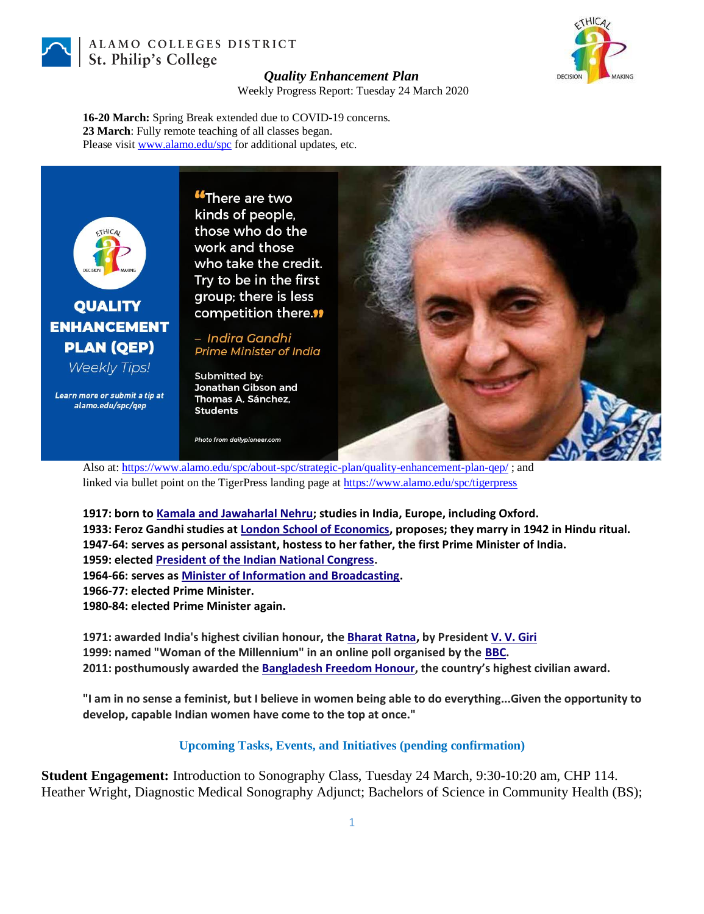

ALAMO COLLEGES DISTRICT St. Philip's College



## *Quality Enhancement Plan*

Weekly Progress Report: Tuesday 24 March 2020

**16-20 March:** Spring Break extended due to COVID-19 concerns. **23 March**: Fully remote teaching of all classes began. Please visit [www.alamo.edu/spc](https://mail.alamo.edu/owa/redir.aspx?C=0RYlCqievwdtcsDmAA0Mm2kYSEKf2q5gGF1os6MJA2nvyBDS0szXCA..&URL=http%3a%2f%2fwww.alamo.edu%2fspc) for additional updates, etc.



## **QUALITY ENHANCEMENT PLAN (QEP)**

**Weekly Tips!** 

Learn more or submit a tip at alamo.edu/spc/qep

**"There are two** kinds of people, those who do the work and those who take the credit. Try to be in the first group; there is less competition there."

– Indira Gandhi **Prime Minister of India** 

Submitted by: Jonathan Gibson and Thomas A. Sánchez, **Students** 

Photo from dailypioneer.com



Also at: <https://www.alamo.edu/spc/about-spc/strategic-plan/quality-enhancement-plan-qep/> ; and linked via bullet point on the TigerPress landing page at [https://www.alamo.edu/spc/tigerpress](https://mail.alamo.edu/owa/redir.aspx?C=6atCMg0U9kAdkmG-EPxUuP-xzFmDP4VzqLdreebL_p-WNZutFtDXCA..&URL=https%3a%2f%2fwww.alamo.edu%2fspc%2ftigerpress)

**1917: born to [Kamala and Jawaharlal Nehru;](https://en.wikipedia.org/wiki/Jawaharlal_Nehru) studies in India, Europe, including Oxford. 1933: Feroz Gandhi studies at [London School of Economics,](https://en.wikipedia.org/wiki/London_School_of_Economics) proposes; they marry in 1942 in Hindu ritual. 1947-64: serves as personal assistant, hostess to her father, the first Prime Minister of India. 1959: elected [President of the Indian National Congress.](https://en.wikipedia.org/wiki/President_of_the_Indian_National_Congress) 1964-66: serves as [Minister of Information and Broadcasting.](https://en.wikipedia.org/wiki/Minister_of_Information_and_Broadcasting_(India)) 1966-77: elected Prime Minister. 1980-84: elected Prime Minister again.**

**1971: awarded India's highest civilian honour, the [Bharat Ratna,](https://en.wikipedia.org/wiki/Bharat_Ratna) by Presiden[t V. V. Giri](https://en.wikipedia.org/wiki/V._V._Giri) 1999: named "Woman of the Millennium" in an online poll organised by the [BBC.](https://en.wikipedia.org/wiki/BBC) 2011: posthumously awarded the [Bangladesh Freedom Honour](https://en.wikipedia.org/wiki/Bangladesh_Freedom_Honour), the country's highest civilian award.**

**"I am in no sense a feminist, but I believe in women being able to do everything...Given the opportunity to develop, capable Indian women have come to the top at once."**

**Upcoming Tasks, Events, and Initiatives (pending confirmation)**

**Student Engagement:** Introduction to Sonography Class, Tuesday 24 March, 9:30-10:20 am, CHP 114. Heather Wright, Diagnostic Medical Sonography Adjunct; Bachelors of Science in Community Health (BS);